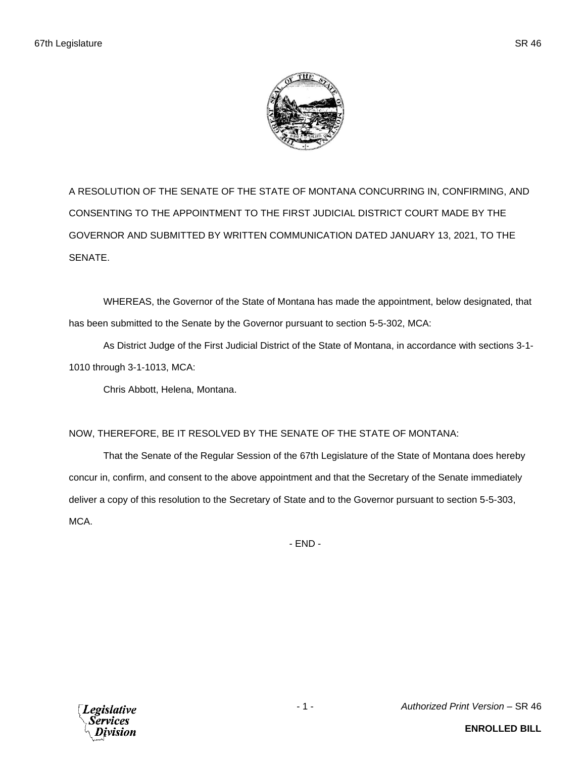A RESOLUTION OF THE SENATE OF THE STATE OF MONTANA CONCURRING IN, CONFIRMING, AND CONSENTING TO THE APPOINTMENT TO THE FIRST JUDICIAL DISTRICT COURT MADE BY THE GOVERNOR AND SUBMITTED BY WRITTEN COMMUNICATION DATED JANUARY 13, 2021, TO THE SENATE.

WHEREAS, the Governor of the State of Montana has made the appointment, below designated, that has been submitted to the Senate by the Governor pursuant to section 5-5-302, MCA:

As District Judge of the First Judicial District of the State of Montana, in accordance with sections 3-1- 1010 through 3-1-1013, MCA:

Chris Abbott, Helena, Montana.

## NOW, THEREFORE, BE IT RESOLVED BY THE SENATE OF THE STATE OF MONTANA:

That the Senate of the Regular Session of the 67th Legislature of the State of Montana does hereby concur in, confirm, and consent to the above appointment and that the Secretary of the Senate immediately deliver a copy of this resolution to the Secretary of State and to the Governor pursuant to section 5-5-303, MCA.

- END -

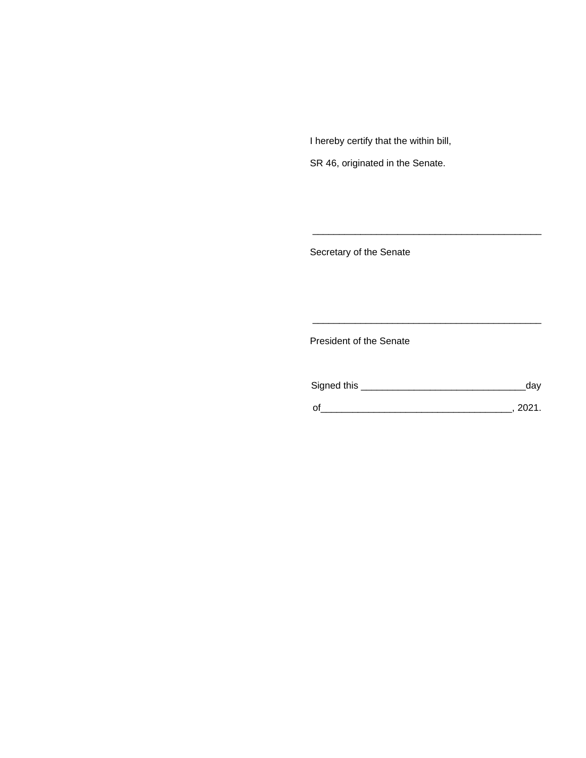I hereby certify that the within bill,

SR 46, originated in the Senate.

Secretary of the Senate

President of the Senate

| Signed this | dav  |
|-------------|------|
|             | 2021 |

\_\_\_\_\_\_\_\_\_\_\_\_\_\_\_\_\_\_\_\_\_\_\_\_\_\_\_\_\_\_\_\_\_\_\_\_\_\_\_\_\_\_\_

\_\_\_\_\_\_\_\_\_\_\_\_\_\_\_\_\_\_\_\_\_\_\_\_\_\_\_\_\_\_\_\_\_\_\_\_\_\_\_\_\_\_\_